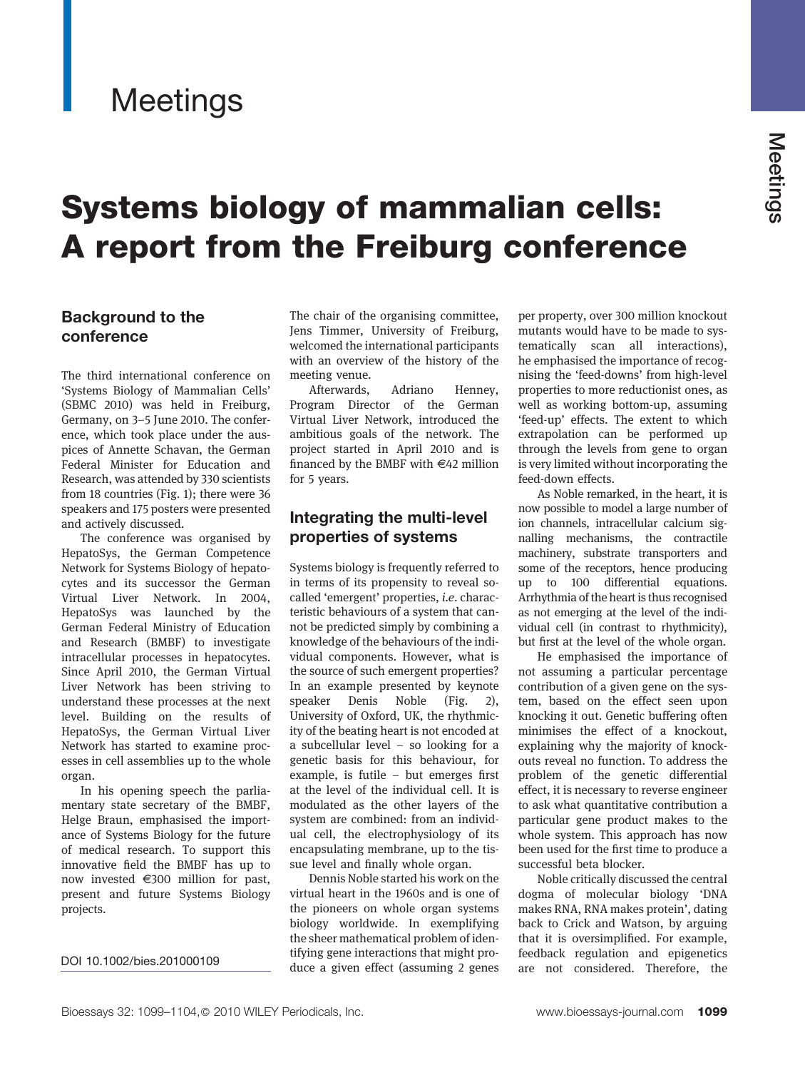# Meetings

# Systems biology of mammalian cells: A report from the Freiburg conference

# Background to the conference

The third international conference on 'Systems Biology of Mammalian Cells' (SBMC 2010) was held in Freiburg, Germany, on 3–5 June 2010. The conference, which took place under the auspices of Annette Schavan, the German Federal Minister for Education and Research, was attended by 330 scientists from 18 countries (Fig. 1); there were 36 speakers and 175 posters were presented and actively discussed.

The conference was organised by HepatoSys, the German Competence Network for Systems Biology of hepatocytes and its successor the German Virtual Liver Network. In 2004, HepatoSys was launched by the German Federal Ministry of Education and Research (BMBF) to investigate intracellular processes in hepatocytes. Since April 2010, the German Virtual Liver Network has been striving to understand these processes at the next level. Building on the results of HepatoSys, the German Virtual Liver Network has started to examine processes in cell assemblies up to the whole organ.

In his opening speech the parliamentary state secretary of the BMBF, Helge Braun, emphasised the importance of Systems Biology for the future of medical research. To support this innovative field the BMBF has up to now invested  $\epsilon$ 300 million for past, present and future Systems Biology projects.

The chair of the organising committee, Jens Timmer, University of Freiburg, welcomed the international participants with an overview of the history of the meeting venue.

Afterwards, Adriano Henney, Program Director of the German Virtual Liver Network, introduced the ambitious goals of the network. The project started in April 2010 and is financed by the BMBF with  $\in$  42 million for 5 years.

## Integrating the multi-level properties of systems

Systems biology is frequently referred to in terms of its propensity to reveal socalled 'emergent' properties, i.e. characteristic behaviours of a system that cannot be predicted simply by combining a knowledge of the behaviours of the individual components. However, what is the source of such emergent properties? In an example presented by keynote speaker Denis Noble (Fig. 2), University of Oxford, UK, the rhythmicity of the beating heart is not encoded at a subcellular level – so looking for a genetic basis for this behaviour, for example, is futile – but emerges first at the level of the individual cell. It is modulated as the other layers of the system are combined: from an individual cell, the electrophysiology of its encapsulating membrane, up to the tissue level and finally whole organ.

Dennis Noble started his work on the virtual heart in the 1960s and is one of the pioneers on whole organ systems biology worldwide. In exemplifying the sheer mathematical problem of identifying gene interactions that might produce a given effect (assuming 2 genes DOI 10.1002/bies.201000109 http://www.gradian.com/statement/holds.com/statement/holds.com/statement/holds.com/<br>DOI 10.1002/bies.201000109 duce a given effect (assuming 2 genes are not considered. Therefore, the

per property, over 300 million knockout mutants would have to be made to systematically scan all interactions), he emphasised the importance of recognising the 'feed-downs' from high-level properties to more reductionist ones, as well as working bottom-up, assuming 'feed-up' effects. The extent to which extrapolation can be performed up through the levels from gene to organ is very limited without incorporating the feed-down effects.

As Noble remarked, in the heart, it is now possible to model a large number of ion channels, intracellular calcium signalling mechanisms, the contractile machinery, substrate transporters and some of the receptors, hence producing up to 100 differential equations. Arrhythmia of the heart is thus recognised as not emerging at the level of the individual cell (in contrast to rhythmicity), but first at the level of the whole organ.

He emphasised the importance of not assuming a particular percentage contribution of a given gene on the system, based on the effect seen upon knocking it out. Genetic buffering often minimises the effect of a knockout, explaining why the majority of knockouts reveal no function. To address the problem of the genetic differential effect, it is necessary to reverse engineer to ask what quantitative contribution a particular gene product makes to the whole system. This approach has now been used for the first time to produce a successful beta blocker.

Noble critically discussed the central dogma of molecular biology 'DNA makes RNA, RNA makes protein', dating back to Crick and Watson, by arguing that it is oversimplified. For example, feedback regulation and epigenetics

Meetings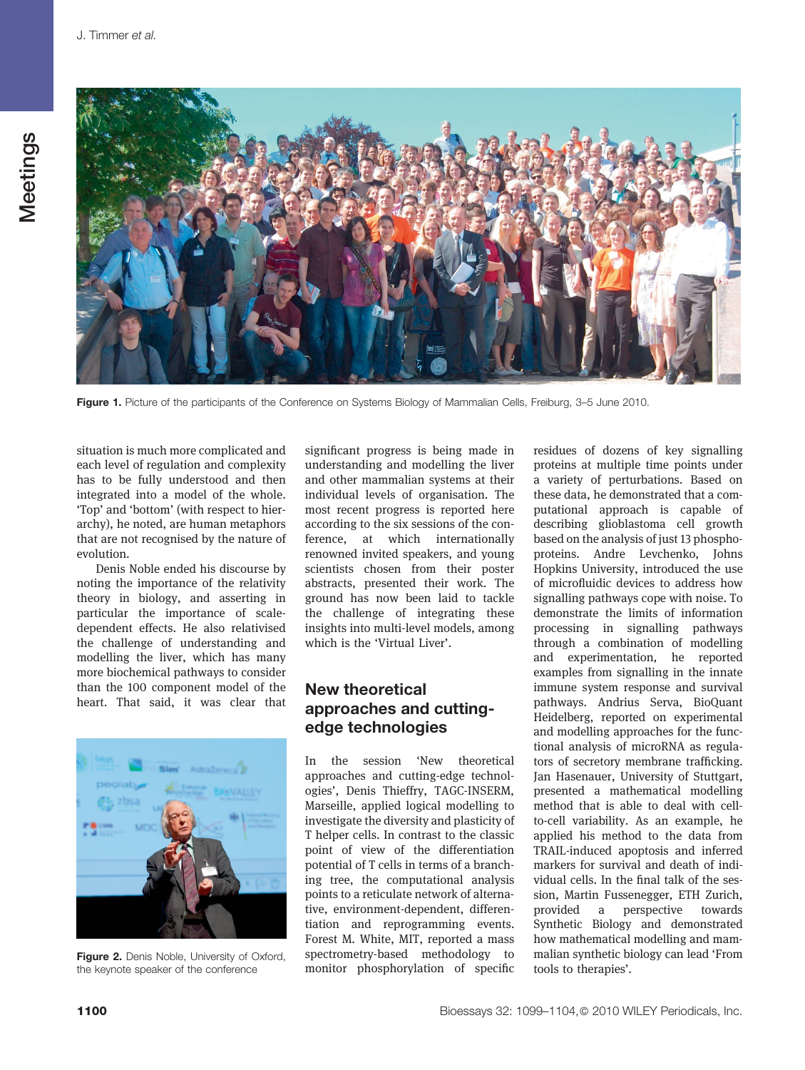

Figure 1. Picture of the participants of the Conference on Systems Biology of Mammalian Cells, Freiburg, 3–5 June 2010.

situation is much more complicated and each level of regulation and complexity has to be fully understood and then integrated into a model of the whole. 'Top' and 'bottom' (with respect to hierarchy), he noted, are human metaphors that are not recognised by the nature of evolution.

Denis Noble ended his discourse by noting the importance of the relativity theory in biology, and asserting in particular the importance of scaledependent effects. He also relativised the challenge of understanding and modelling the liver, which has many more biochemical pathways to consider than the 100 component model of the heart. That said, it was clear that



**Figure 2.** Denis Noble, University of Oxford, the keynote speaker of the conference

significant progress is being made in understanding and modelling the liver and other mammalian systems at their individual levels of organisation. The most recent progress is reported here according to the six sessions of the conference, at which internationally renowned invited speakers, and young scientists chosen from their poster abstracts, presented their work. The ground has now been laid to tackle the challenge of integrating these insights into multi-level models, among which is the 'Virtual Liver'.

# New theoretical approaches and cuttingedge technologies

In the session 'New theoretical approaches and cutting-edge technologies', Denis Thieffry, TAGC-INSERM, Marseille, applied logical modelling to investigate the diversity and plasticity of T helper cells. In contrast to the classic point of view of the differentiation potential of T cells in terms of a branching tree, the computational analysis points to a reticulate network of alternative, environment-dependent, differentiation and reprogramming events. Forest M. White, MIT, reported a mass spectrometry-based methodology to monitor phosphorylation of specific

residues of dozens of key signalling proteins at multiple time points under a variety of perturbations. Based on these data, he demonstrated that a computational approach is capable of describing glioblastoma cell growth based on the analysis of just 13 phosphoproteins. Andre Levchenko, Johns Hopkins University, introduced the use of microfluidic devices to address how signalling pathways cope with noise. To demonstrate the limits of information processing in signalling pathways through a combination of modelling and experimentation, he reported examples from signalling in the innate immune system response and survival pathways. Andrius Serva, BioQuant Heidelberg, reported on experimental and modelling approaches for the functional analysis of microRNA as regulators of secretory membrane trafficking. Jan Hasenauer, University of Stuttgart, presented a mathematical modelling method that is able to deal with cellto-cell variability. As an example, he applied his method to the data from TRAIL-induced apoptosis and inferred markers for survival and death of individual cells. In the final talk of the session, Martin Fussenegger, ETH Zurich, provided a perspective towards Synthetic Biology and demonstrated how mathematical modelling and mammalian synthetic biology can lead 'From tools to therapies'.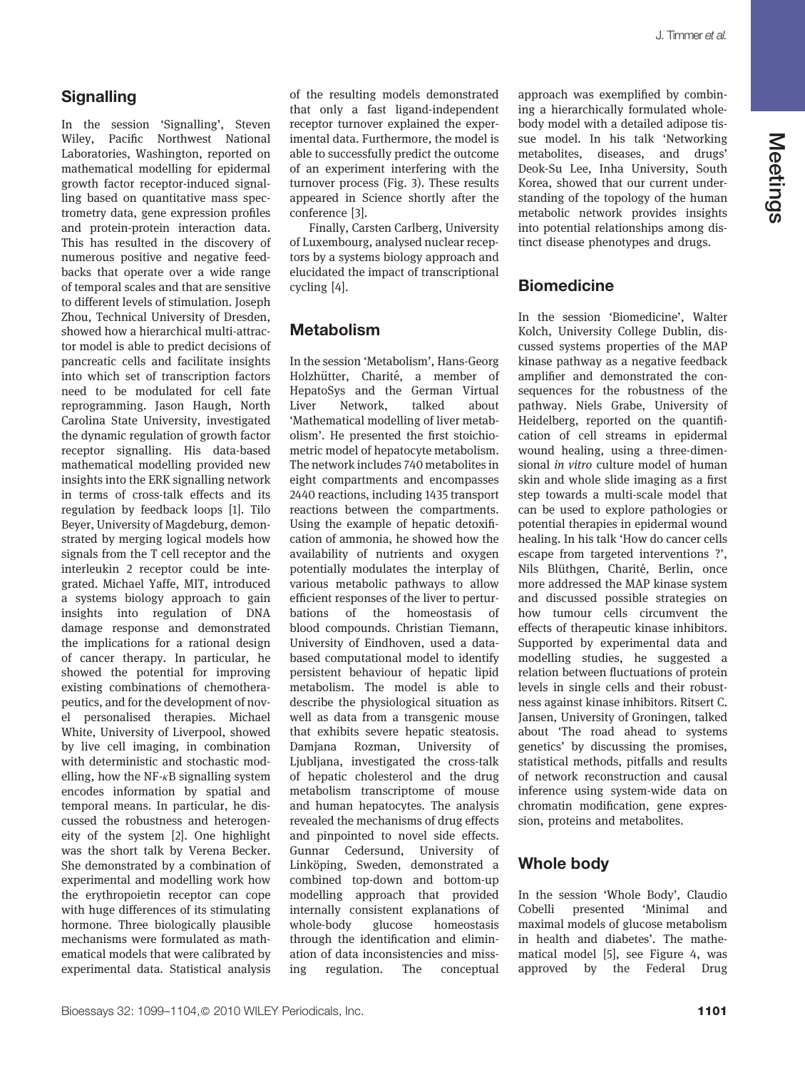# **Signalling**

In the session 'Signalling', Steven Wiley, Pacific Northwest National Laboratories, Washington, reported on mathematical modelling for epidermal growth factor receptor-induced signalling based on quantitative mass spectrometry data, gene expression profiles and protein-protein interaction data. This has resulted in the discovery of numerous positive and negative feedbacks that operate over a wide range of temporal scales and that are sensitive to different levels of stimulation. Joseph Zhou, Technical University of Dresden, showed how a hierarchical multi-attractor model is able to predict decisions of pancreatic cells and facilitate insights into which set of transcription factors need to be modulated for cell fate reprogramming. Jason Haugh, North Carolina State University, investigated the dynamic regulation of growth factor receptor signalling. His data-based mathematical modelling provided new insights into the ERK signalling network in terms of cross-talk effects and its regulation by feedback loops [1]. Tilo Beyer, University of Magdeburg, demonstrated by merging logical models how signals from the T cell receptor and the interleukin 2 receptor could be integrated. Michael Yaffe, MIT, introduced a systems biology approach to gain insights into regulation of DNA damage response and demonstrated the implications for a rational design of cancer therapy. In particular, he showed the potential for improving existing combinations of chemotherapeutics, and for the development of novel personalised therapies. Michael White, University of Liverpool, showed by live cell imaging, in combination with deterministic and stochastic modelling, how the NF- $\kappa$ B signalling system encodes information by spatial and temporal means. In particular, he discussed the robustness and heterogeneity of the system [2]. One highlight was the short talk by Verena Becker. She demonstrated by a combination of experimental and modelling work how the erythropoietin receptor can cope with huge differences of its stimulating hormone. Three biologically plausible mechanisms were formulated as mathematical models that were calibrated by experimental data. Statistical analysis

of the resulting models demonstrated that only a fast ligand-independent receptor turnover explained the experimental data. Furthermore, the model is able to successfully predict the outcome of an experiment interfering with the turnover process (Fig. 3). These results appeared in Science shortly after the conference [3].

Finally, Carsten Carlberg, University of Luxembourg, analysed nuclear receptors by a systems biology approach and elucidated the impact of transcriptional cycling [4].

### Metabolism

In the session 'Metabolism', Hans-Georg Holzhütter, Charité, a member of HepatoSys and the German Virtual Liver Network, talked about 'Mathematical modelling of liver metabolism'. He presented the first stoichiometric model of hepatocyte metabolism. The network includes 740 metabolites in eight compartments and encompasses 2440 reactions, including 1435 transport reactions between the compartments. Using the example of hepatic detoxification of ammonia, he showed how the availability of nutrients and oxygen potentially modulates the interplay of various metabolic pathways to allow efficient responses of the liver to perturbations of the homeostasis of blood compounds. Christian Tiemann, University of Eindhoven, used a databased computational model to identify persistent behaviour of hepatic lipid metabolism. The model is able to describe the physiological situation as well as data from a transgenic mouse that exhibits severe hepatic steatosis. Damjana Rozman, University of Ljubljana, investigated the cross-talk of hepatic cholesterol and the drug metabolism transcriptome of mouse and human hepatocytes. The analysis revealed the mechanisms of drug effects and pinpointed to novel side effects. Gunnar Cedersund, University of Linköping, Sweden, demonstrated a combined top-down and bottom-up modelling approach that provided internally consistent explanations of whole-body glucose homeostasis through the identification and elimination of data inconsistencies and missing regulation. The conceptual

approach was exemplified by combining a hierarchically formulated wholebody model with a detailed adipose tissue model. In his talk 'Networking metabolites, diseases, and drugs' Deok-Su Lee, Inha University, South Korea, showed that our current understanding of the topology of the human metabolic network provides insights into potential relationships among distinct disease phenotypes and drugs.

#### **Biomedicine**

In the session 'Biomedicine', Walter Kolch, University College Dublin, discussed systems properties of the MAP kinase pathway as a negative feedback amplifier and demonstrated the consequences for the robustness of the pathway. Niels Grabe, University of Heidelberg, reported on the quantification of cell streams in epidermal wound healing, using a three-dimensional in vitro culture model of human skin and whole slide imaging as a first step towards a multi-scale model that can be used to explore pathologies or potential therapies in epidermal wound healing. In his talk 'How do cancer cells escape from targeted interventions ?', Nils Blüthgen, Charité, Berlin, once more addressed the MAP kinase system and discussed possible strategies on how tumour cells circumvent the effects of therapeutic kinase inhibitors. Supported by experimental data and modelling studies, he suggested a relation between fluctuations of protein levels in single cells and their robustness against kinase inhibitors. Ritsert C. Jansen, University of Groningen, talked about 'The road ahead to systems genetics' by discussing the promises, statistical methods, pitfalls and results of network reconstruction and causal inference using system-wide data on chromatin modification, gene expression, proteins and metabolites.

## Whole body

In the session 'Whole Body', Claudio Cobelli presented 'Minimal and maximal models of glucose metabolism in health and diabetes'. The mathematical model [5], see Figure 4, was approved by the Federal Drug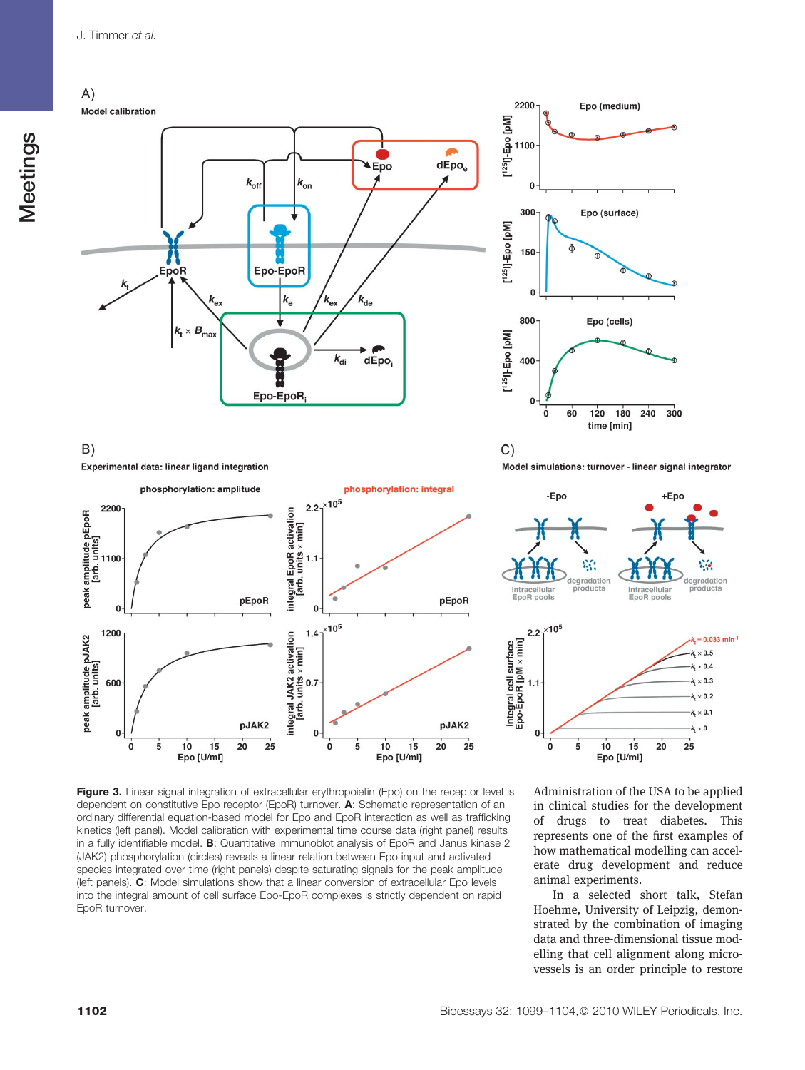

 $B)$ Experimental data: linear ligand integration



**Figure 3.** Linear signal integration of extracellular erythropoietin (Epo) on the receptor level is dependent on constitutive Epo receptor (EpoR) turnover. A: Schematic representation of an ordinary differential equation-based model for Epo and EpoR interaction as well as trafficking kinetics (left panel). Model calibration with experimental time course data (right panel) results in a fully identifiable model. **B**: Quantitative immunoblot analysis of EpoR and Janus kinase 2 (JAK2) phosphorylation (circles) reveals a linear relation between Epo input and activated species integrated over time (right panels) despite saturating signals for the peak amplitude (left panels). C: Model simulations show that a linear conversion of extracellular Epo levels into the integral amount of cell surface Epo-EpoR complexes is strictly dependent on rapid EpoR turnover.



Model simulations: turnover - linear signal integrator



Administration of the USA to be applied in clinical studies for the development of drugs to treat diabetes. This represents one of the first examples of how mathematical modelling can accelerate drug development and reduce animal experiments.

In a selected short talk, Stefan Hoehme, University of Leipzig, demonstrated by the combination of imaging data and three-dimensional tissue modelling that cell alignment along microvessels is an order principle to restore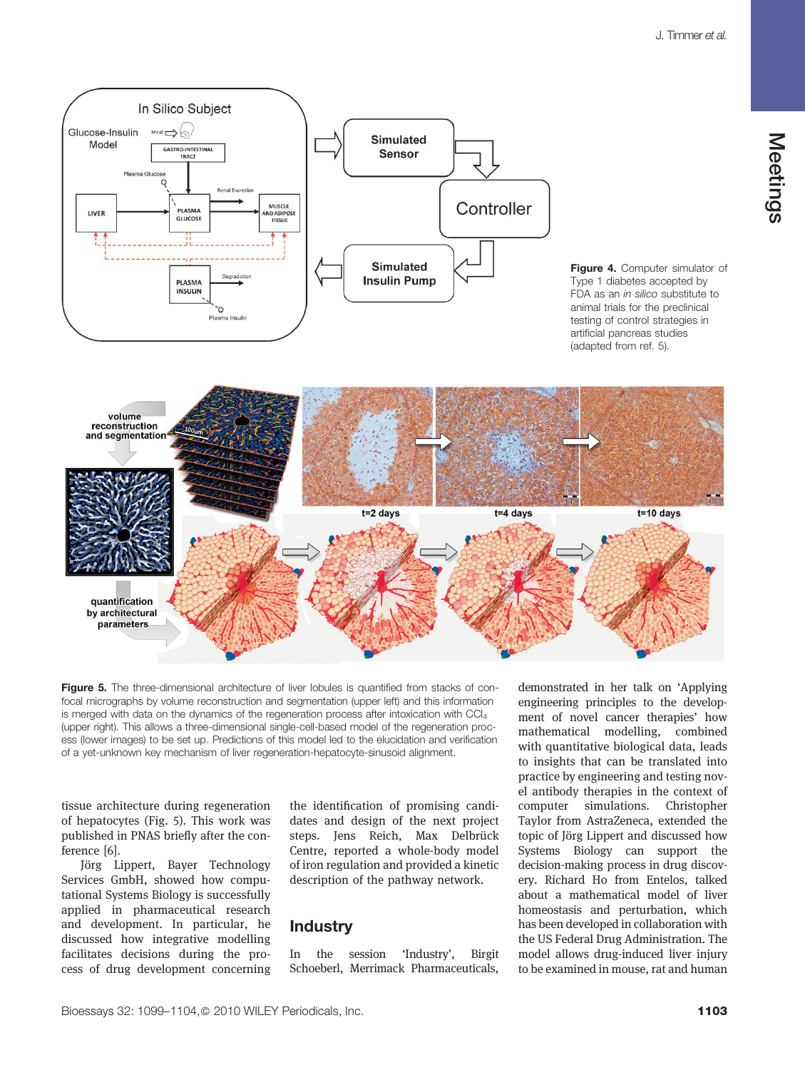

Figure 4. Computer simulator of Type 1 diabetes accepted by FDA as an in silico substitute to animal trials for the preclinical testing of control strategies in artificial pancreas studies (adapted from ref. 5).



Figure 5. The three-dimensional architecture of liver lobules is quantified from stacks of confocal micrographs by volume reconstruction and segmentation (upper left) and this information is merged with data on the dynamics of the regeneration process after intoxication with CCl<sub>4</sub> (upper right). This allows a three-dimensional single-cell-based model of the regeneration process (lower images) to be set up. Predictions of this model led to the elucidation and verification of a yet-unknown key mechanism of liver regeneration-hepatocyte-sinusoid alignment.

tissue architecture during regeneration of hepatocytes (Fig. 5). This work was published in PNAS briefly after the conference [6].

Jörg Lippert, Bayer Technology Services GmbH, showed how computational Systems Biology is successfully applied in pharmaceutical research and development. In particular, he discussed how integrative modelling facilitates decisions during the process of drug development concerning the identification of promising candidates and design of the next project steps. Jens Reich, Max Delbrück Centre, reported a whole-body model of iron regulation and provided a kinetic description of the pathway network.

#### **Industry**

In the session 'Industry', Birgit Schoeberl, Merrimack Pharmaceuticals,

demonstrated in her talk on 'Applying engineering principles to the development of novel cancer therapies' how mathematical modelling, combined with quantitative biological data, leads to insights that can be translated into practice by engineering and testing novel antibody therapies in the context of computer simulations. Christopher Taylor from AstraZeneca, extended the topic of Jörg Lippert and discussed how Systems Biology can support the decision-making process in drug discovery. Richard Ho from Entelos, talked about a mathematical model of liver homeostasis and perturbation, which has been developed in collaboration with the US Federal Drug Administration. The model allows drug-induced liver injury to be examined in mouse, rat and human